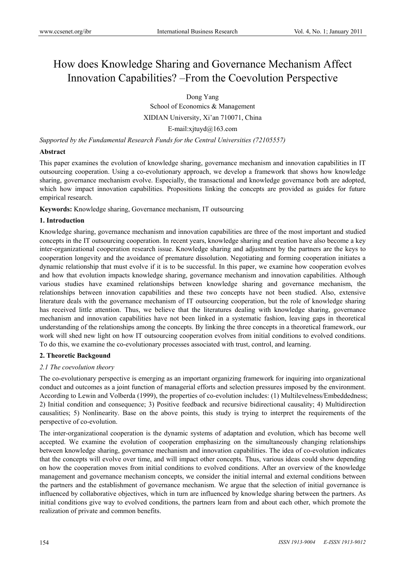# How does Knowledge Sharing and Governance Mechanism Affect Innovation Capabilities? –From the Coevolution Perspective

Dong Yang

School of Economics & Management

XIDIAN University, Xi'an 710071, China

E-mail:xjtuyd@163.com

*Supported by the Fundamental Research Funds for the Central Universities (72105557)* 

#### **Abstract**

This paper examines the evolution of knowledge sharing, governance mechanism and innovation capabilities in IT outsourcing cooperation. Using a co-evolutionary approach, we develop a framework that shows how knowledge sharing, governance mechanism evolve. Especially, the transactional and knowledge governance both are adopted, which how impact innovation capabilities. Propositions linking the concepts are provided as guides for future empirical research.

**Keywords:** Knowledge sharing, Governance mechanism, IT outsourcing

### **1. Introduction**

Knowledge sharing, governance mechanism and innovation capabilities are three of the most important and studied concepts in the IT outsourcing cooperation. In recent years, knowledge sharing and creation have also become a key inter-organizational cooperation research issue. Knowledge sharing and adjustment by the partners are the keys to cooperation longevity and the avoidance of premature dissolution. Negotiating and forming cooperation initiates a dynamic relationship that must evolve if it is to be successful. In this paper, we examine how cooperation evolves and how that evolution impacts knowledge sharing, governance mechanism and innovation capabilities. Although various studies have examined relationships between knowledge sharing and governance mechanism, the relationships between innovation capabilities and these two concepts have not been studied. Also, extensive literature deals with the governance mechanism of IT outsourcing cooperation, but the role of knowledge sharing has received little attention. Thus, we believe that the literatures dealing with knowledge sharing, governance mechanism and innovation capabilities have not been linked in a systematic fashion, leaving gaps in theoretical understanding of the relationships among the concepts. By linking the three concepts in a theoretical framework, our work will shed new light on how IT outsourcing cooperation evolves from initial conditions to evolved conditions. To do this, we examine the co-evolutionary processes associated with trust, control, and learning.

### **2. Theoretic Backgound**

### *2.1 The coevolution theory*

The co-evolutionary perspective is emerging as an important organizing framework for inquiring into organizational conduct and outcomes as a joint function of managerial efforts and selection pressures imposed by the environment. According to Lewin and Volberda (1999), the properties of co-evolution includes: (1) Multilevelness/Embeddedness; 2) Initial condition and consequence; 3) Positive feedback and recursive bidirectional causality; 4) Multidirection causalities; 5) Nonlinearity. Base on the above points, this study is trying to interpret the requirements of the perspective of co-evolution.

The inter-organizational cooperation is the dynamic systems of adaptation and evolution, which has become well accepted. We examine the evolution of cooperation emphasizing on the simultaneously changing relationships between knowledge sharing, governance mechanism and innovation capabilities. The idea of co-evolution indicates that the concepts will evolve over time, and will impact other concepts. Thus, various ideas could show depending on how the cooperation moves from initial conditions to evolved conditions. After an overview of the knowledge management and governance mechanism concepts, we consider the initial internal and external conditions between the partners and the establishment of governance mechanism. We argue that the selection of initial governance is influenced by collaborative objectives, which in turn are influenced by knowledge sharing between the partners. As initial conditions give way to evolved conditions, the partners learn from and about each other, which promote the realization of private and common benefits.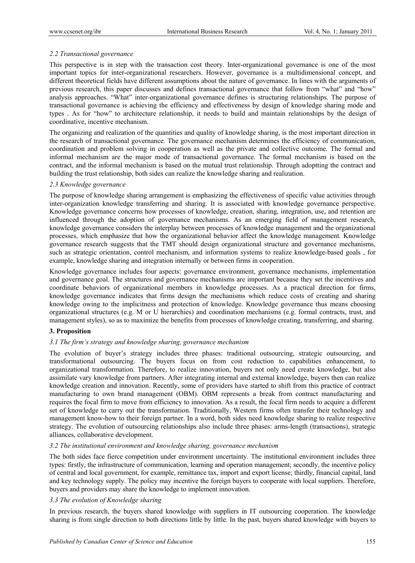## *2.2 Transactional governance*

This perspective is in step with the transaction cost theory. Inter-organizational governance is one of the most important topics for inter-organizational researchers. However, governance is a multidimensional concept, and different theoretical fields have different assumptions about the nature of governance. In lines with the arguments of previous research, this paper discusses and defines transactional governance that follow from "what" and "how" analysis approaches. "What" inter-organizational governance defines is structuring relationships. The purpose of transactional governance is achieving the efficiency and effectiveness by design of knowledge sharing mode and types . As for "how" to architecture relationship, it needs to build and maintain relationships by the design of coordinative, incentive mechanism.

The organizing and realization of the quantities and quality of knowledge sharing, is the most important direction in the research of transactional governance. The governance mechanism determines the efficiency of communication, coordination and problem solving in cooperation as well as the private and collective outcome. The formal and informal mechanism are the major mode of transactional governance. The formal mechanism is based on the contract, and the informal mechanism is based on the mutual trust relationship. Through adoptting the contract and building the trust relationship, both sides can realize the knowledge sharing and realization.

### *2.3 Knowledge governance*

The purpose of knowledge sharing arrangement is emphasizing the effectiveness of specific value activities through inter-organization knowledge transferring and sharing. It is associated with knowledge governance perspective. Knowledge governance concerns how processes of knowledge, creation, sharing, integration, use, and retention are influenced through the adoption of governance mechanisms. As an emerging field of management research, knowledge governance considers the interplay between processes of knowledge management and the organizational processes, which emphasize that how the organizational behavior affect the knowledge management. Knowledge governance research suggests that the TMT should design organizational structure and governance mechanisms, such as strategic orientation, control mechanism, and information systems to realize knowledge-based goals , for example, knowledge sharing and integration internally or between firms in cooperation.

Knowledge governance includes four aspects: governance environment, governance mechanisms, implementation and governance goal. The structures and governance mechanisms are important because they set the incentives and coordinate behaviors of organizational members in knowledge processes. As a practical direction for firms, knowledge governance indicates that firms design the mechanisms which reduce costs of creating and sharing knowledge owing to the implicitness and protection of knowledge. Knowledge governance thus means choosing organizational structures (e.g. M or U hierarchies) and coordination mechanisms (e.g. formal contracts, trust, and management styles), so as to maximize the benefits from processes of knowledge creating, transferring, and sharing.

# **3. Proposition**

### *3.1 The firm's strategy and knowledge sharing, governance mechanism*

The evolution of buyer's strategy includes three phases: traditional outsourcing, strategic outsourcing, and transformational outsourcing. The buyers focus on from cost reduction to capabilities enhancement, to organizational transformation. Therefore, to realize innovation, buyers not only need create knowledge, but also assimilate vary knowledge from partners. After integrating internal and external knowledge, buyers then can realize knowledge creation and innovation. Recently, some of providers have started to shift from this practice of contract manufacturing to own brand management (OBM). OBM represents a break from contract manufacturing and requires the focal firm to move from efficiency to innovation. As a result, the focal firm needs to acquire a different set of knowledge to carry out the transformation. Traditionally, Western firms often transfer their technology and management know-how to their foreign partner. In a word, both sides need knowledge sharing to realize respective strategy. The evolution of outsourcing relationships also include three phases: arms-length (transactions), strategic alliances, collaborative development.

### *3.2 The institutional environment and knowledge sharing, governance mechanism*

The both sides face fierce competition under environment uncertainty. The institutional environment includes three types: firstly, the infrastructure of communication, learning and operation management; secondly, the incentive policy of central and local government, for example, remittance tax, import and export license; thirdly, financial capital, land and key technology supply. The policy may incentive the foreign buyers to cooperate with local suppliers. Therefore, buyers and providers may share the knowledge to implement innovation.

### *3.3 The evolution of Knowledge sharing*

In previous research, the buyers shared knowledge with suppliers in IT outsourcing cooperation. The knowledge sharing is from single direction to both directions little by little. In the past, buyers shared knowledge with buyers to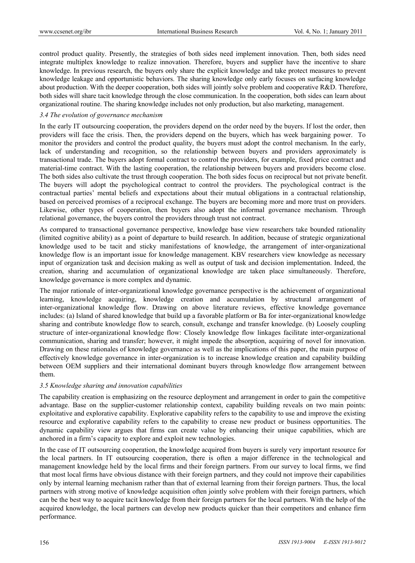control product quality. Presently, the strategies of both sides need implement innovation. Then, both sides need integrate multiplex knowledge to realize innovation. Therefore, buyers and supplier have the incentive to share knowledge. In previous research, the buyers only share the explicit knowledge and take protect measures to prevent knowledge leakage and opportunistic behaviors. The sharing knowledge only early focuses on surfacing knowledge about production. With the deeper cooperation, both sides will jointly solve problem and cooperative R&D. Therefore, both sides will share tacit knowledge through the close communication. In the cooperation, both sides can learn about organizational routine. The sharing knowledge includes not only production, but also marketing, management.

#### *3.4 The evolution of governance mechanism*

In the early IT outsourcing cooperation, the providers depend on the order need by the buyers. If lost the order, then providers will face the crisis. Then, the providers depend on the buyers, which has week bargaining power. To monitor the providers and control the product quality, the buyers must adopt the control mechanism. In the early, lack of understanding and recognition, so the relationship between buyers and providers approximately is transactional trade. The buyers adopt formal contract to control the providers, for example, fixed price contract and material-time contract. With the lasting cooperation, the relationship between buyers and providers become close. The both sides also cultivate the trust through cooperation. The both sides focus on reciprocal but not private benefit. The buyers will adopt the psychological contract to control the providers. The psychological contract is the contractual parties' mental beliefs and expectations about their mutual obligations in a contractual relationship, based on perceived promises of a reciprocal exchange. The buyers are becoming more and more trust on providers. Likewise, other types of cooperation, then buyers also adopt the informal governance mechanism. Through relational governance, the buyers control the providers through trust not contract.

As compared to transactional governance perspective, knowledge base view researchers take bounded rationality (limited cognitive ability) as a point of departure to build research. In addition, because of strategic organizational knowledge used to be tacit and sticky manifestations of knowledge, the arrangement of inter-organizational knowledge flow is an important issue for knowledge management. KBV researchers view knowledge as necessary input of organization task and decision making as well as output of task and decision implementation. Indeed, the creation, sharing and accumulation of organizational knowledge are taken place simultaneously. Therefore, knowledge governance is more complex and dynamic.

The major rationale of inter-organizational knowledge governance perspective is the achievement of organizational learning, knowledge acquiring, knowledge creation and accumulation by structural arrangement of inter-organizational knowledge flow. Drawing on above literature reviews, effective knowledge governance includes: (a) Island of shared knowledge that build up a favorable platform or Ba for inter-organizational knowledge sharing and contribute knowledge flow to search, consult, exchange and transfer knowledge. (b) Loosely coupling structure of inter-organizational knowledge flow: Closely knowledge flow linkages facilitate inter-organizational communication, sharing and transfer; however, it might impede the absorption, acquiring of novel for innovation. Drawing on these rationales of knowledge governance as well as the implications of this paper, the main purpose of effectively knowledge governance in inter-organization is to increase knowledge creation and capability building between OEM suppliers and their international dominant buyers through knowledge flow arrangement between them.

#### *3.5 Knowledge sharing and innovation capabilities*

The capability creation is emphasizing on the resource deployment and arrangement in order to gain the competitive advantage. Base on the supplier-customer relationship context, capability building reveals on two main points: exploitative and explorative capability. Explorative capability refers to the capability to use and improve the existing resource and explorative capability refers to the capability to crease new product or business opportunities. The dynamic capability view argues that firms can create value by enhancing their unique capabilities, which are anchored in a firm's capacity to explore and exploit new technologies.

In the case of IT outsourcing cooperation, the knowledge acquired from buyers is surely very important resource for the local partners. In IT outsourcing cooperation, there is often a major difference in the technological and management knowledge held by the local firms and their foreign partners. From our survey to local firms, we find that most local firms have obvious distance with their foreign partners, and they could not improve their capabilities only by internal learning mechanism rather than that of external learning from their foreign partners. Thus, the local partners with strong motive of knowledge acquisition often jointly solve problem with their foreign partners, which can be the best way to acquire tacit knowledge from their foreign partners for the local partners. With the help of the acquired knowledge, the local partners can develop new products quicker than their competitors and enhance firm performance.